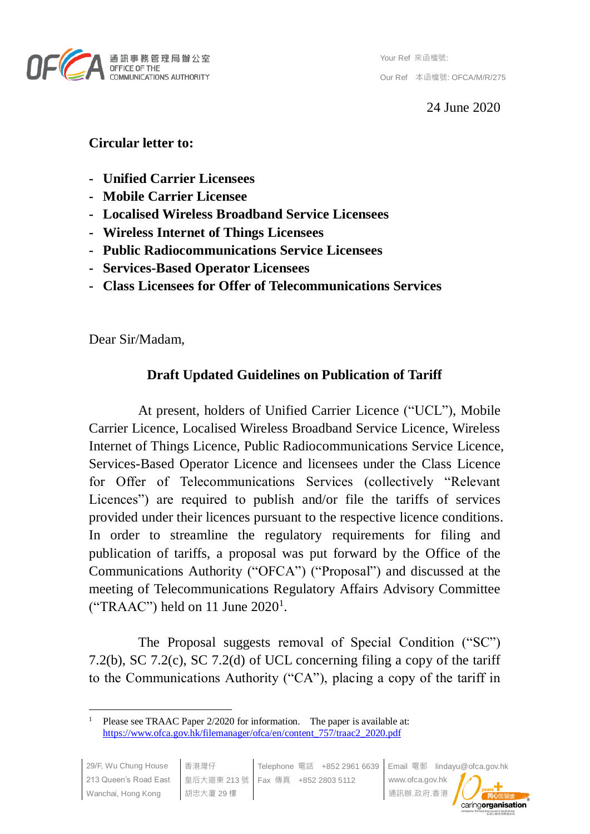

Your Ref 來函檔號: Our Ref 本函檔號: OFCA/M/R/275

24 June 2020

# **Circular letter to:**

- **- Unified Carrier Licensees**
- **- Mobile Carrier Licensee**
- **- Localised Wireless Broadband Service Licensees**
- **- Wireless Internet of Things Licensees**
- **- Public Radiocommunications Service Licensees**
- **- Services-Based Operator Licensees**
- **- Class Licensees for Offer of Telecommunications Services**

Dear Sir/Madam,

# **Draft Updated Guidelines on Publication of Tariff**

At present, holders of Unified Carrier Licence ("UCL"), Mobile Carrier Licence, Localised Wireless Broadband Service Licence, Wireless Internet of Things Licence, Public Radiocommunications Service Licence, Services-Based Operator Licence and licensees under the Class Licence for Offer of Telecommunications Services (collectively "Relevant Licences") are required to publish and/or file the tariffs of services provided under their licences pursuant to the respective licence conditions. In order to streamline the regulatory requirements for filing and publication of tariffs, a proposal was put forward by the Office of the Communications Authority ("OFCA") ("Proposal") and discussed at the meeting of Telecommunications Regulatory Affairs Advisory Committee ("TRAAC") held on 11 June  $2020<sup>1</sup>$ .

The Proposal suggests removal of Special Condition ("SC") 7.2(b), SC 7.2(c), SC 7.2(d) of UCL concerning filing a copy of the tariff to the Communications Authority ("CA"), placing a copy of the tariff in

 $\overline{a}$ Please see TRAAC Paper 2/2020 for information. The paper is available at: [https://www.ofca.gov.hk/filemanager/ofca/en/content\\_757/traac2\\_2020.pdf](https://www.ofca.gov.hk/filemanager/ofca/en/content_757/traac2_2020.pdf)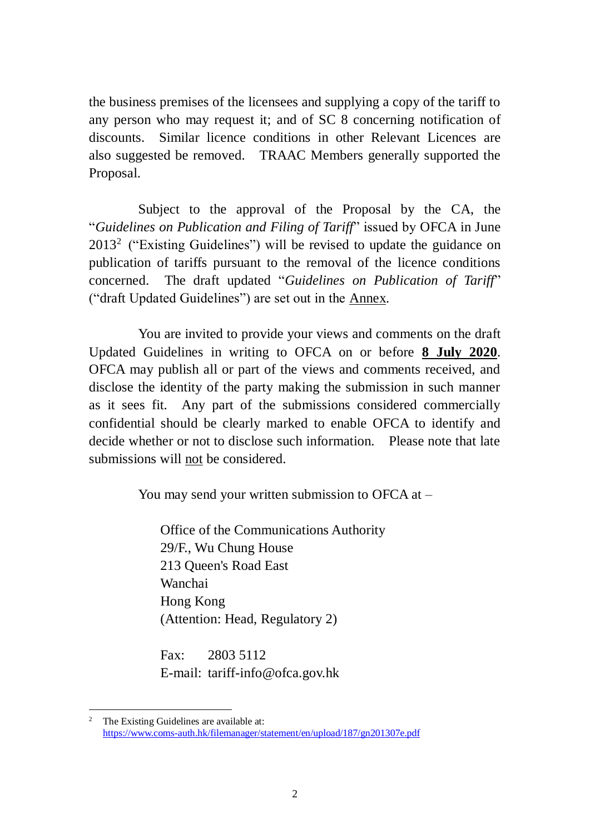the business premises of the licensees and supplying a copy of the tariff to any person who may request it; and of SC 8 concerning notification of discounts. Similar licence conditions in other Relevant Licences are also suggested be removed. TRAAC Members generally supported the Proposal.

Subject to the approval of the Proposal by the CA, the "*Guidelines on Publication and Filing of Tariff*" issued by OFCA in June  $2013<sup>2</sup>$  ("Existing Guidelines") will be revised to update the guidance on publication of tariffs pursuant to the removal of the licence conditions concerned. The draft updated "*Guidelines on Publication of Tariff*" ("draft Updated Guidelines") are set out in the Annex.

You are invited to provide your views and comments on the draft Updated Guidelines in writing to OFCA on or before **8 July 2020**. OFCA may publish all or part of the views and comments received, and disclose the identity of the party making the submission in such manner as it sees fit. Any part of the submissions considered commercially confidential should be clearly marked to enable OFCA to identify and decide whether or not to disclose such information. Please note that late submissions will not be considered.

You may send your written submission to OFCA at  $-$ 

Office of the Communications Authority 29/F., Wu Chung House 213 Queen's Road East Wanchai Hong Kong (Attention: Head, Regulatory 2)

Fax: 2803 5112 E-mail: tariff-info@ofca.gov.hk

 $\overline{a}$ The Existing Guidelines are available at: <https://www.coms-auth.hk/filemanager/statement/en/upload/187/gn201307e.pdf>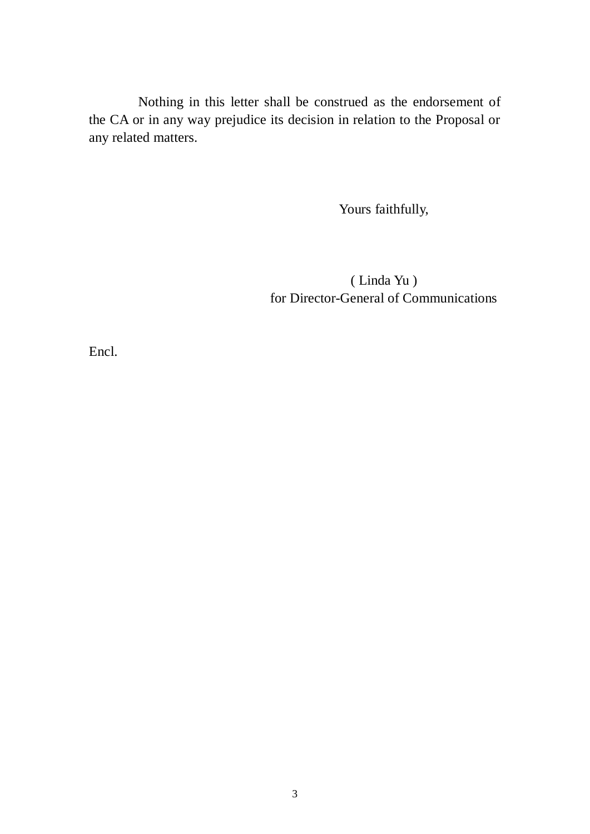Nothing in this letter shall be construed as the endorsement of the CA or in any way prejudice its decision in relation to the Proposal or any related matters.

Yours faithfully,

( Linda Yu ) for Director-General of Communications

Encl.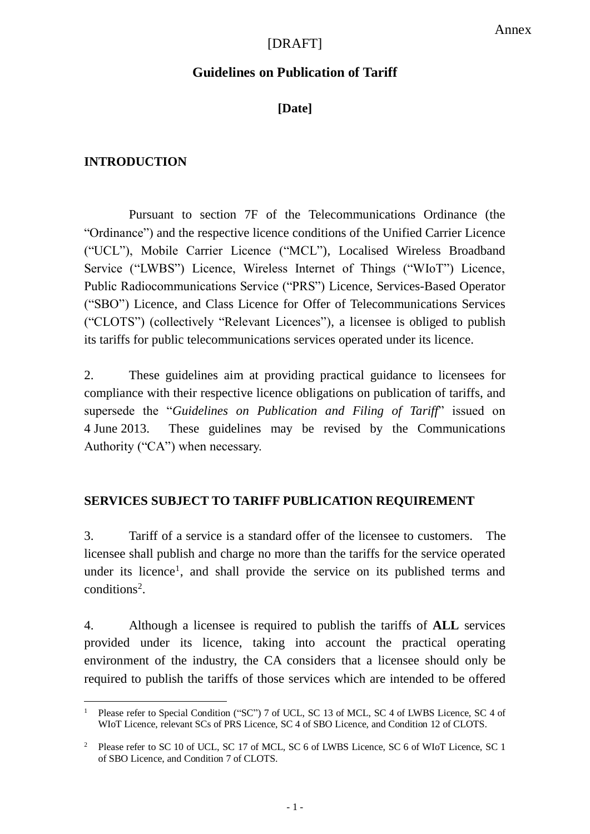### [DRAFT]

#### **Guidelines on Publication of Tariff**

## **[Date]**

#### **INTRODUCTION**

 $\overline{a}$ 

Pursuant to section 7F of the Telecommunications Ordinance (the "Ordinance") and the respective licence conditions of the Unified Carrier Licence ("UCL"), Mobile Carrier Licence ("MCL"), Localised Wireless Broadband Service ("LWBS") Licence, Wireless Internet of Things ("WIoT") Licence, Public Radiocommunications Service ("PRS") Licence, Services-Based Operator ("SBO") Licence, and Class Licence for Offer of Telecommunications Services ("CLOTS") (collectively "Relevant Licences"), a licensee is obliged to publish its tariffs for public telecommunications services operated under its licence.

2. These guidelines aim at providing practical guidance to licensees for compliance with their respective licence obligations on publication of tariffs, and supersede the "*Guidelines on Publication and Filing of Tariff*" issued on 4 June 2013. These guidelines may be revised by the Communications Authority ("CA") when necessary.

#### **SERVICES SUBJECT TO TARIFF PUBLICATION REQUIREMENT**

3. Tariff of a service is a standard offer of the licensee to customers. The licensee shall publish and charge no more than the tariffs for the service operated under its licence<sup>1</sup>, and shall provide the service on its published terms and  $conditions<sup>2</sup>$ .

4. Although a licensee is required to publish the tariffs of **ALL** services provided under its licence, taking into account the practical operating environment of the industry, the CA considers that a licensee should only be required to publish the tariffs of those services which are intended to be offered

<sup>1</sup> Please refer to Special Condition ("SC") 7 of UCL, SC 13 of MCL, SC 4 of LWBS Licence, SC 4 of WIoT Licence, relevant SCs of PRS Licence, SC 4 of SBO Licence, and Condition 12 of CLOTS.

<sup>&</sup>lt;sup>2</sup> Please refer to SC 10 of UCL, SC 17 of MCL, SC 6 of LWBS Licence, SC 6 of WIoT Licence, SC 1 of SBO Licence, and Condition 7 of CLOTS.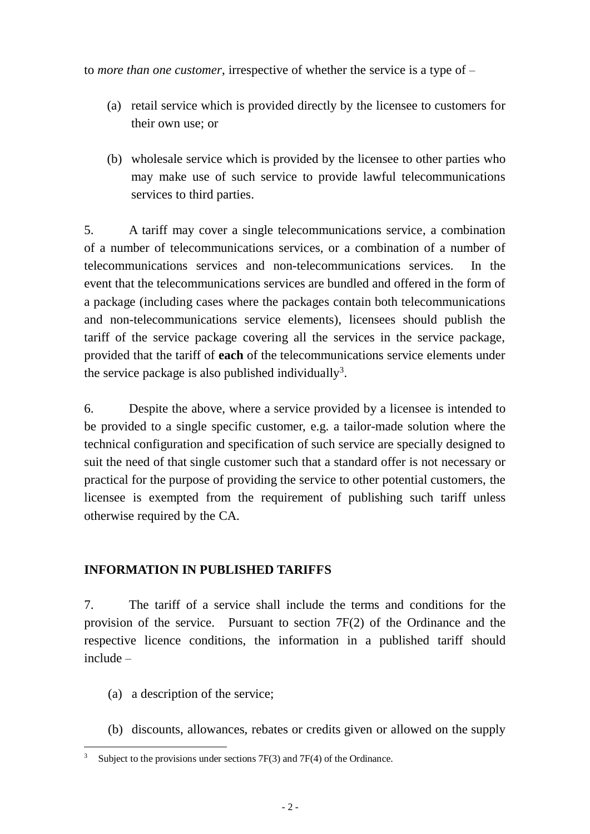to *more than one customer*, irrespective of whether the service is a type of –

- (a) retail service which is provided directly by the licensee to customers for their own use; or
- (b) wholesale service which is provided by the licensee to other parties who may make use of such service to provide lawful telecommunications services to third parties.

5. A tariff may cover a single telecommunications service, a combination of a number of telecommunications services, or a combination of a number of telecommunications services and non-telecommunications services. In the event that the telecommunications services are bundled and offered in the form of a package (including cases where the packages contain both telecommunications and non-telecommunications service elements), licensees should publish the tariff of the service package covering all the services in the service package, provided that the tariff of **each** of the telecommunications service elements under the service package is also published individually<sup>3</sup>.

6. Despite the above, where a service provided by a licensee is intended to be provided to a single specific customer, e.g. a tailor-made solution where the technical configuration and specification of such service are specially designed to suit the need of that single customer such that a standard offer is not necessary or practical for the purpose of providing the service to other potential customers, the licensee is exempted from the requirement of publishing such tariff unless otherwise required by the CA.

## **INFORMATION IN PUBLISHED TARIFFS**

7. The tariff of a service shall include the terms and conditions for the provision of the service. Pursuant to section 7F(2) of the Ordinance and the respective licence conditions, the information in a published tariff should include –

- (a) a description of the service;
- (b) discounts, allowances, rebates or credits given or allowed on the supply

 $\overline{a}$ Subject to the provisions under sections  $7F(3)$  and  $7F(4)$  of the Ordinance.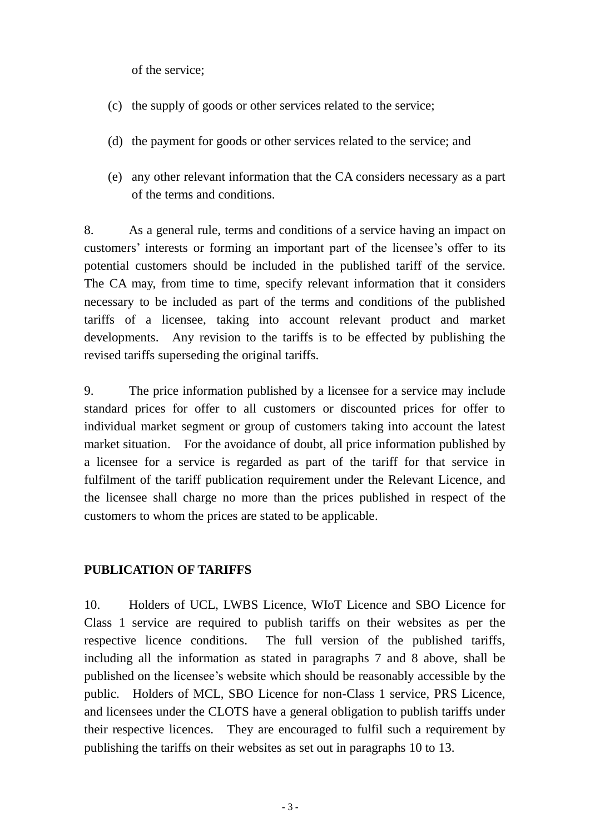of the service;

- (c) the supply of goods or other services related to the service;
- (d) the payment for goods or other services related to the service; and
- (e) any other relevant information that the CA considers necessary as a part of the terms and conditions.

8. As a general rule, terms and conditions of a service having an impact on customers' interests or forming an important part of the licensee's offer to its potential customers should be included in the published tariff of the service. The CA may, from time to time, specify relevant information that it considers necessary to be included as part of the terms and conditions of the published tariffs of a licensee, taking into account relevant product and market developments. Any revision to the tariffs is to be effected by publishing the revised tariffs superseding the original tariffs.

9. The price information published by a licensee for a service may include standard prices for offer to all customers or discounted prices for offer to individual market segment or group of customers taking into account the latest market situation. For the avoidance of doubt, all price information published by a licensee for a service is regarded as part of the tariff for that service in fulfilment of the tariff publication requirement under the Relevant Licence, and the licensee shall charge no more than the prices published in respect of the customers to whom the prices are stated to be applicable.

### **PUBLICATION OF TARIFFS**

10. Holders of UCL, LWBS Licence, WIoT Licence and SBO Licence for Class 1 service are required to publish tariffs on their websites as per the respective licence conditions. The full version of the published tariffs, including all the information as stated in paragraphs 7 and 8 above, shall be published on the licensee's website which should be reasonably accessible by the public. Holders of MCL, SBO Licence for non-Class 1 service, PRS Licence, and licensees under the CLOTS have a general obligation to publish tariffs under their respective licences. They are encouraged to fulfil such a requirement by publishing the tariffs on their websites as set out in paragraphs 10 to 13.